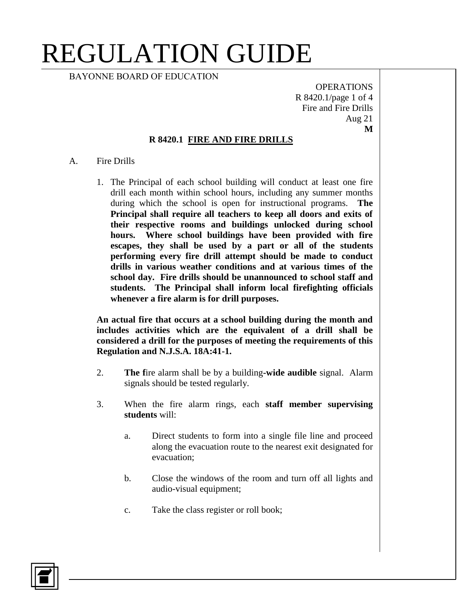BAYONNE BOARD OF EDUCATION

OPERATIONS R 8420.1/page 1 of 4 Fire and Fire Drills Aug 21 **M**

#### **R 8420.1 FIRE AND FIRE DRILLS**

- A. Fire Drills
	- 1. The Principal of each school building will conduct at least one fire drill each month within school hours, including any summer months during which the school is open for instructional programs. **The Principal shall require all teachers to keep all doors and exits of their respective rooms and buildings unlocked during school hours. Where school buildings have been provided with fire escapes, they shall be used by a part or all of the students performing every fire drill attempt should be made to conduct drills in various weather conditions and at various times of the school day. Fire drills should be unannounced to school staff and students. The Principal shall inform local firefighting officials whenever a fire alarm is for drill purposes.**

**An actual fire that occurs at a school building during the month and includes activities which are the equivalent of a drill shall be considered a drill for the purposes of meeting the requirements of this Regulation and N.J.S.A. 18A:41-1.**

- 2. **The f**ire alarm shall be by a building**-wide audible** signal. Alarm signals should be tested regularly.
- 3. When the fire alarm rings, each **staff member supervising students** will:
	- a. Direct students to form into a single file line and proceed along the evacuation route to the nearest exit designated for evacuation;
	- b. Close the windows of the room and turn off all lights and audio-visual equipment;
	- c. Take the class register or roll book;

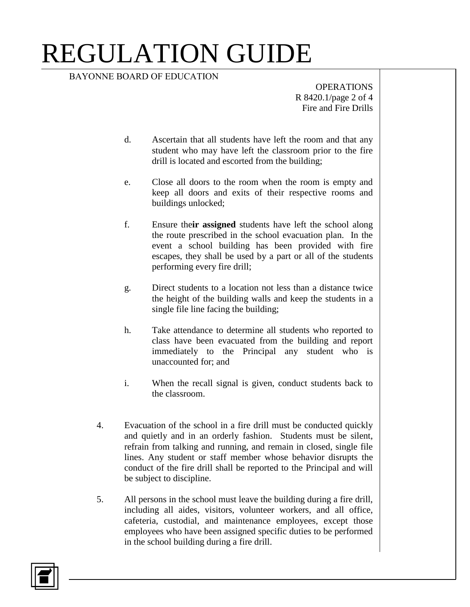BAYONNE BOARD OF EDUCATION

OPERATIONS R 8420.1/page 2 of 4 Fire and Fire Drills

- d. Ascertain that all students have left the room and that any student who may have left the classroom prior to the fire drill is located and escorted from the building;
- e. Close all doors to the room when the room is empty and keep all doors and exits of their respective rooms and buildings unlocked;
- f. Ensure the**ir assigned** students have left the school along the route prescribed in the school evacuation plan. In the event a school building has been provided with fire escapes, they shall be used by a part or all of the students performing every fire drill;
- g. Direct students to a location not less than a distance twice the height of the building walls and keep the students in a single file line facing the building;
- h. Take attendance to determine all students who reported to class have been evacuated from the building and report immediately to the Principal any student who is unaccounted for; and
- i. When the recall signal is given, conduct students back to the classroom.
- 4. Evacuation of the school in a fire drill must be conducted quickly and quietly and in an orderly fashion. Students must be silent, refrain from talking and running, and remain in closed, single file lines. Any student or staff member whose behavior disrupts the conduct of the fire drill shall be reported to the Principal and will be subject to discipline.
- 5. All persons in the school must leave the building during a fire drill, including all aides, visitors, volunteer workers, and all office, cafeteria, custodial, and maintenance employees, except those employees who have been assigned specific duties to be performed in the school building during a fire drill.

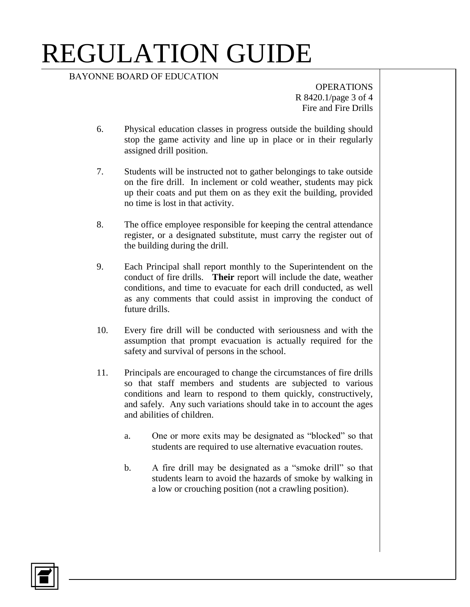#### BAYONNE BOARD OF EDUCATION

OPERATIONS R 8420.1/page 3 of 4 Fire and Fire Drills

- 6. Physical education classes in progress outside the building should stop the game activity and line up in place or in their regularly assigned drill position.
- 7. Students will be instructed not to gather belongings to take outside on the fire drill. In inclement or cold weather, students may pick up their coats and put them on as they exit the building, provided no time is lost in that activity.
- 8. The office employee responsible for keeping the central attendance register, or a designated substitute, must carry the register out of the building during the drill.
- 9. Each Principal shall report monthly to the Superintendent on the conduct of fire drills. **Their** report will include the date, weather conditions, and time to evacuate for each drill conducted, as well as any comments that could assist in improving the conduct of future drills.
- 10. Every fire drill will be conducted with seriousness and with the assumption that prompt evacuation is actually required for the safety and survival of persons in the school.
- 11. Principals are encouraged to change the circumstances of fire drills so that staff members and students are subjected to various conditions and learn to respond to them quickly, constructively, and safely. Any such variations should take in to account the ages and abilities of children.
	- a. One or more exits may be designated as "blocked" so that students are required to use alternative evacuation routes.
	- b. A fire drill may be designated as a "smoke drill" so that students learn to avoid the hazards of smoke by walking in a low or crouching position (not a crawling position).